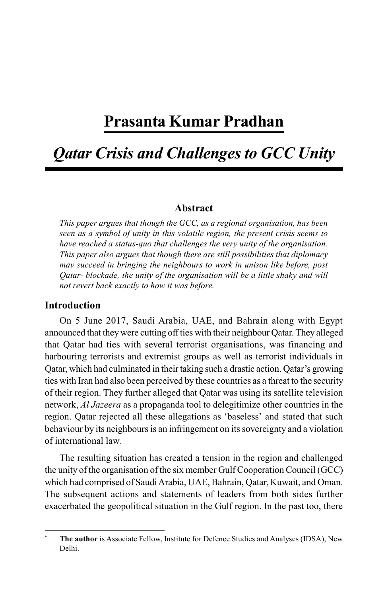# **Prasanta Kumar Pradhan**

# *Qatar Crisis and Challenges to GCC Unity*

#### **Abstract**

*This paper argues that though the GCC, as a regional organisation, has been seen as a symbol of unity in this volatile region, the present crisis seems to have reached a status-quo that challenges the very unity of the organisation. This paper also argues that though there are still possibilities that diplomacy may succeed in bringing the neighbours to work in unison like before, post Qatar- blockade, the unity of the organisation will be a little shaky and will not revert back exactly to how it was before.*

### **Introduction**

On 5 June 2017, Saudi Arabia, UAE, and Bahrain along with Egypt announced that they were cutting off ties with their neighbour Qatar. They alleged that Qatar had ties with several terrorist organisations, was financing and harbouring terrorists and extremist groups as well as terrorist individuals in Qatar, which had culminated in their taking such a drastic action. Qatar's growing ties with Iran had also been perceived by these countries as a threat to the security of their region. They further alleged that Qatar was using its satellite television network, *Al Jazeera* as a propaganda tool to delegitimize other countries in the region. Qatar rejected all these allegations as 'baseless' and stated that such behaviour by its neighbours is an infringement on its sovereignty and a violation of international law.

The resulting situation has created a tension in the region and challenged the unity of the organisation of the six member Gulf Cooperation Council (GCC) which had comprised of Saudi Arabia, UAE, Bahrain, Qatar, Kuwait, and Oman. The subsequent actions and statements of leaders from both sides further exacerbated the geopolitical situation in the Gulf region. In the past too, there

**<sup>\*</sup> The author** is Associate Fellow, Institute for Defence Studies and Analyses (IDSA), New Delhi.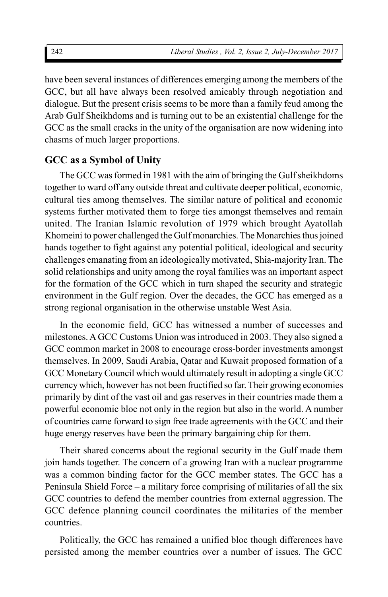have been several instances of differences emerging among the members of the GCC, but all have always been resolved amicably through negotiation and dialogue. But the present crisis seems to be more than a family feud among the Arab Gulf Sheikhdoms and is turning out to be an existential challenge for the GCC as the small cracks in the unity of the organisation are now widening into chasms of much larger proportions.

# **GCC as a Symbol of Unity**

The GCC was formed in 1981 with the aim of bringing the Gulf sheikhdoms together to ward off any outside threat and cultivate deeper political, economic, cultural ties among themselves. The similar nature of political and economic systems further motivated them to forge ties amongst themselves and remain united. The Iranian Islamic revolution of 1979 which brought Ayatollah Khomeini to power challenged the Gulf monarchies. The Monarchies thus joined hands together to fight against any potential political, ideological and security challenges emanating from an ideologically motivated, Shia-majority Iran. The solid relationships and unity among the royal families was an important aspect for the formation of the GCC which in turn shaped the security and strategic environment in the Gulf region. Over the decades, the GCC has emerged as a strong regional organisation in the otherwise unstable West Asia.

In the economic field, GCC has witnessed a number of successes and milestones. A GCC Customs Union was introduced in 2003. They also signed a GCC common market in 2008 to encourage cross-border investments amongst themselves. In 2009, Saudi Arabia, Qatar and Kuwait proposed formation of a GCC Monetary Council which would ultimately result in adopting a single GCC currency which, however has not been fructified so far. Their growing economies primarily by dint of the vast oil and gas reserves in their countries made them a powerful economic bloc not only in the region but also in the world. A number of countries came forward to sign free trade agreements with the GCC and their huge energy reserves have been the primary bargaining chip for them.

Their shared concerns about the regional security in the Gulf made them join hands together. The concern of a growing Iran with a nuclear programme was a common binding factor for the GCC member states. The GCC has a Peninsula Shield Force – a military force comprising of militaries of all the six GCC countries to defend the member countries from external aggression. The GCC defence planning council coordinates the militaries of the member countries.

Politically, the GCC has remained a unified bloc though differences have persisted among the member countries over a number of issues. The GCC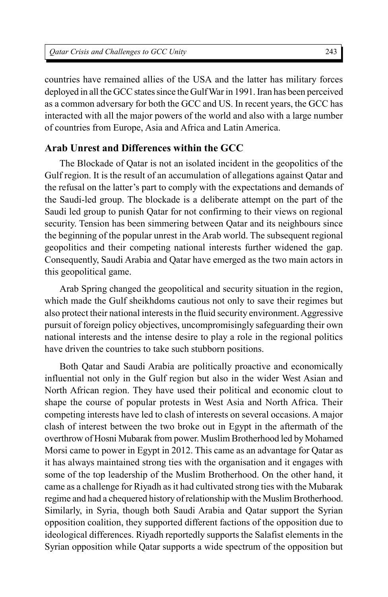countries have remained allies of the USA and the latter has military forces deployed in all the GCC states since the Gulf War in 1991. Iran has been perceived as a common adversary for both the GCC and US. In recent years, the GCC has interacted with all the major powers of the world and also with a large number of countries from Europe, Asia and Africa and Latin America.

# **Arab Unrest and Differences within the GCC**

The Blockade of Qatar is not an isolated incident in the geopolitics of the Gulf region. It is the result of an accumulation of allegations against Qatar and the refusal on the latter's part to comply with the expectations and demands of the Saudi-led group. The blockade is a deliberate attempt on the part of the Saudi led group to punish Qatar for not confirming to their views on regional security. Tension has been simmering between Qatar and its neighbours since the beginning of the popular unrest in the Arab world. The subsequent regional geopolitics and their competing national interests further widened the gap. Consequently, Saudi Arabia and Qatar have emerged as the two main actors in this geopolitical game.

Arab Spring changed the geopolitical and security situation in the region, which made the Gulf sheikhdoms cautious not only to save their regimes but also protect their national interests in the fluid security environment. Aggressive pursuit of foreign policy objectives, uncompromisingly safeguarding their own national interests and the intense desire to play a role in the regional politics have driven the countries to take such stubborn positions.

Both Qatar and Saudi Arabia are politically proactive and economically influential not only in the Gulf region but also in the wider West Asian and North African region. They have used their political and economic clout to shape the course of popular protests in West Asia and North Africa. Their competing interests have led to clash of interests on several occasions. A major clash of interest between the two broke out in Egypt in the aftermath of the overthrow of Hosni Mubarak from power. Muslim Brotherhood led by Mohamed Morsi came to power in Egypt in 2012. This came as an advantage for Qatar as it has always maintained strong ties with the organisation and it engages with some of the top leadership of the Muslim Brotherhood. On the other hand, it came as a challenge for Riyadh as it had cultivated strong ties with the Mubarak regime and had a chequered history of relationship with the Muslim Brotherhood. Similarly, in Syria, though both Saudi Arabia and Qatar support the Syrian opposition coalition, they supported different factions of the opposition due to ideological differences. Riyadh reportedly supports the Salafist elements in the Syrian opposition while Qatar supports a wide spectrum of the opposition but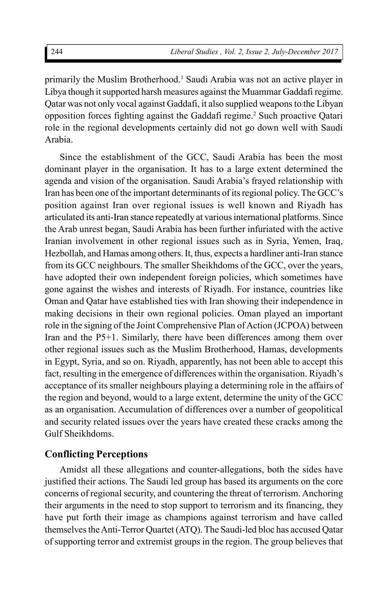primarily the Muslim Brotherhood.<sup>1</sup> Saudi Arabia was not an active player in Libya though it supported harsh measures against the Muammar Gaddafi regime. Qatar was not only vocal against Gaddafi, it also supplied weapons to the Libyan opposition forces fighting against the Gaddafi regime.<sup>2</sup> Such proactive Qatari role in the regional developments certainly did not go down well with Saudi Arabia.

Since the establishment of the GCC, Saudi Arabia has been the most dominant player in the organisation. It has to a large extent determined the agenda and vision of the organisation. Saudi Arabia's frayed relationship with Iran has been one of the important determinants of its regional policy. The GCC's position against Iran over regional issues is well known and Riyadh has articulated its anti-Iran stance repeatedly at various international platforms. Since the Arab unrest began, Saudi Arabia has been further infuriated with the active Iranian involvement in other regional issues such as in Syria, Yemen, Iraq, Hezbollah, and Hamas among others. It, thus, expects a hardliner anti-Iran stance from its GCC neighbours. The smaller Sheikhdoms of the GCC, over the years, have adopted their own independent foreign policies, which sometimes have gone against the wishes and interests of Riyadh. For instance, countries like Oman and Qatar have established ties with Iran showing their independence in making decisions in their own regional policies. Oman played an important role in the signing of the Joint Comprehensive Plan of Action (JCPOA) between Iran and the P5+1. Similarly, there have been differences among them over other regional issues such as the Muslim Brotherhood, Hamas, developments in Egypt, Syria, and so on. Riyadh, apparently, has not been able to accept this fact, resulting in the emergence of differences within the organisation. Riyadh's acceptance of its smaller neighbours playing a determining role in the affairs of the region and beyond, would to a large extent, determine the unity of the GCC as an organisation. Accumulation of differences over a number of geopolitical and security related issues over the years have created these cracks among the Gulf Sheikhdoms.

# **Conflicting Perceptions**

Amidst all these allegations and counter-allegations, both the sides have justified their actions. The Saudi led group has based its arguments on the core concerns of regional security, and countering the threat of terrorism. Anchoring their arguments in the need to stop support to terrorism and its financing, they have put forth their image as champions against terrorism and have called themselves the Anti-Terror Quartet (ATQ). The Saudi-led bloc has accused Qatar of supporting terror and extremist groups in the region. The group believes that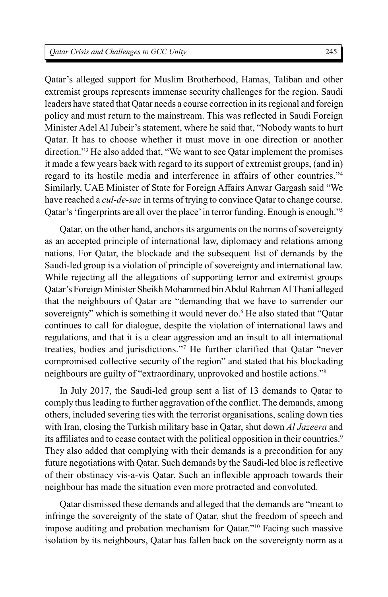Qatar's alleged support for Muslim Brotherhood, Hamas, Taliban and other extremist groups represents immense security challenges for the region. Saudi leaders have stated that Qatar needs a course correction in its regional and foreign policy and must return to the mainstream. This was reflected in Saudi Foreign Minister Adel Al Jubeir's statement, where he said that, "Nobody wants to hurt Qatar. It has to choose whether it must move in one direction or another direction."<sup>3</sup> He also added that, "We want to see Qatar implement the promises it made a few years back with regard to its support of extremist groups, (and in) regard to its hostile media and interference in affairs of other countries."<sup>4</sup> Similarly, UAE Minister of State for Foreign Affairs Anwar Gargash said "We have reached a *cul-de-sac* in terms of trying to convince Qatar to change course. Qatar's 'fingerprints are all over the place' in terror funding. Enough is enough."<sup>5</sup>

Qatar, on the other hand, anchors its arguments on the norms of sovereignty as an accepted principle of international law, diplomacy and relations among nations. For Qatar, the blockade and the subsequent list of demands by the Saudi-led group is a violation of principle of sovereignty and international law. While rejecting all the allegations of supporting terror and extremist groups Qatar's Foreign Minister Sheikh Mohammed bin Abdul Rahman Al Thani alleged that the neighbours of Qatar are "demanding that we have to surrender our sovereignty" which is something it would never do.<sup>6</sup> He also stated that "Qatar continues to call for dialogue, despite the violation of international laws and regulations, and that it is a clear aggression and an insult to all international treaties, bodies and jurisdictions."<sup>7</sup> He further clarified that Qatar "never compromised collective security of the region" and stated that his blockading neighbours are guilty of "extraordinary, unprovoked and hostile actions."<sup>8</sup>

In July 2017, the Saudi-led group sent a list of 13 demands to Qatar to comply thus leading to further aggravation of the conflict. The demands, among others, included severing ties with the terrorist organisations, scaling down ties with Iran, closing the Turkish military base in Qatar, shut down *Al Jazeera* and its affiliates and to cease contact with the political opposition in their countries.<sup>9</sup> They also added that complying with their demands is a precondition for any future negotiations with Qatar. Such demands by the Saudi-led bloc is reflective of their obstinacy vis-a-vis Qatar. Such an inflexible approach towards their neighbour has made the situation even more protracted and convoluted.

Qatar dismissed these demands and alleged that the demands are "meant to infringe the sovereignty of the state of Qatar, shut the freedom of speech and impose auditing and probation mechanism for Qatar."<sup>10</sup> Facing such massive isolation by its neighbours, Qatar has fallen back on the sovereignty norm as a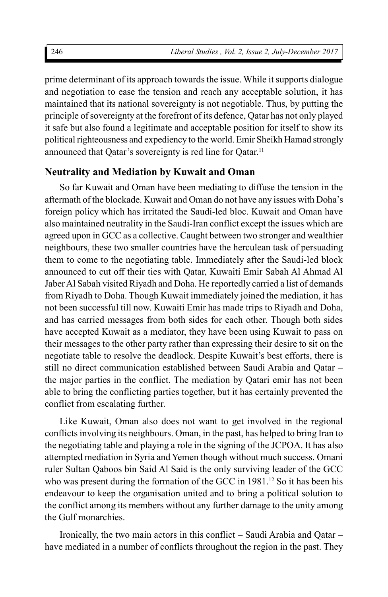prime determinant of its approach towards the issue. While it supports dialogue and negotiation to ease the tension and reach any acceptable solution, it has maintained that its national sovereignty is not negotiable. Thus, by putting the principle of sovereignty at the forefront of its defence, Qatar has not only played it safe but also found a legitimate and acceptable position for itself to show its political righteousness and expediency to the world. Emir Sheikh Hamad strongly announced that Qatar's sovereignty is red line for Qatar.<sup>11</sup>

#### **Neutrality and Mediation by Kuwait and Oman**

So far Kuwait and Oman have been mediating to diffuse the tension in the aftermath of the blockade. Kuwait and Oman do not have any issues with Doha's foreign policy which has irritated the Saudi-led bloc. Kuwait and Oman have also maintained neutrality in the Saudi-Iran conflict except the issues which are agreed upon in GCC as a collective. Caught between two stronger and wealthier neighbours, these two smaller countries have the herculean task of persuading them to come to the negotiating table. Immediately after the Saudi-led block announced to cut off their ties with Qatar, Kuwaiti Emir Sabah Al Ahmad Al Jaber Al Sabah visited Riyadh and Doha. He reportedly carried a list of demands from Riyadh to Doha. Though Kuwait immediately joined the mediation, it has not been successful till now. Kuwaiti Emir has made trips to Riyadh and Doha, and has carried messages from both sides for each other. Though both sides have accepted Kuwait as a mediator, they have been using Kuwait to pass on their messages to the other party rather than expressing their desire to sit on the negotiate table to resolve the deadlock. Despite Kuwait's best efforts, there is still no direct communication established between Saudi Arabia and Qatar – the major parties in the conflict. The mediation by Qatari emir has not been able to bring the conflicting parties together, but it has certainly prevented the conflict from escalating further.

Like Kuwait, Oman also does not want to get involved in the regional conflicts involving its neighbours. Oman, in the past, has helped to bring Iran to the negotiating table and playing a role in the signing of the JCPOA. It has also attempted mediation in Syria and Yemen though without much success. Omani ruler Sultan Qaboos bin Said Al Said is the only surviving leader of the GCC who was present during the formation of the GCC in  $1981<sup>12</sup>$  So it has been his endeavour to keep the organisation united and to bring a political solution to the conflict among its members without any further damage to the unity among the Gulf monarchies.

Ironically, the two main actors in this conflict – Saudi Arabia and Qatar – have mediated in a number of conflicts throughout the region in the past. They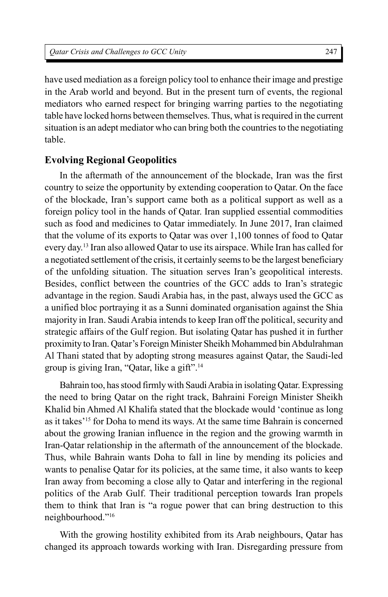have used mediation as a foreign policy tool to enhance their image and prestige in the Arab world and beyond. But in the present turn of events, the regional mediators who earned respect for bringing warring parties to the negotiating table have locked horns between themselves. Thus, what is required in the current situation is an adept mediator who can bring both the countries to the negotiating table.

## **Evolving Regional Geopolitics**

In the aftermath of the announcement of the blockade, Iran was the first country to seize the opportunity by extending cooperation to Qatar. On the face of the blockade, Iran's support came both as a political support as well as a foreign policy tool in the hands of Qatar. Iran supplied essential commodities such as food and medicines to Qatar immediately. In June 2017, Iran claimed that the volume of its exports to Qatar was over 1,100 tonnes of food to Qatar every day.<sup>13</sup> Iran also allowed Qatar to use its airspace. While Iran has called for a negotiated settlement of the crisis, it certainly seems to be the largest beneficiary of the unfolding situation. The situation serves Iran's geopolitical interests. Besides, conflict between the countries of the GCC adds to Iran's strategic advantage in the region. Saudi Arabia has, in the past, always used the GCC as a unified bloc portraying it as a Sunni dominated organisation against the Shia majority in Iran. Saudi Arabia intends to keep Iran off the political, security and strategic affairs of the Gulf region. But isolating Qatar has pushed it in further proximity to Iran. Qatar's Foreign Minister Sheikh Mohammed bin Abdulrahman Al Thani stated that by adopting strong measures against Qatar, the Saudi-led group is giving Iran, "Qatar, like a gift".<sup>14</sup>

Bahrain too, has stood firmly with Saudi Arabia in isolating Qatar. Expressing the need to bring Qatar on the right track, Bahraini Foreign Minister Sheikh Khalid bin Ahmed Al Khalifa stated that the blockade would 'continue as long as it takes'<sup>15</sup> for Doha to mend its ways. At the same time Bahrain is concerned about the growing Iranian influence in the region and the growing warmth in Iran-Qatar relationship in the aftermath of the announcement of the blockade. Thus, while Bahrain wants Doha to fall in line by mending its policies and wants to penalise Qatar for its policies, at the same time, it also wants to keep Iran away from becoming a close ally to Qatar and interfering in the regional politics of the Arab Gulf. Their traditional perception towards Iran propels them to think that Iran is "a rogue power that can bring destruction to this neighbourhood."<sup>16</sup>

With the growing hostility exhibited from its Arab neighbours, Qatar has changed its approach towards working with Iran. Disregarding pressure from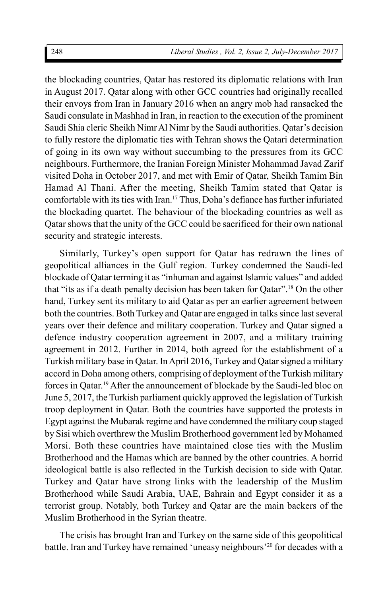the blockading countries, Qatar has restored its diplomatic relations with Iran in August 2017. Qatar along with other GCC countries had originally recalled their envoys from Iran in January 2016 when an angry mob had ransacked the Saudi consulate in Mashhad in Iran, in reaction to the execution of the prominent Saudi Shia cleric Sheikh Nimr Al Nimr by the Saudi authorities. Qatar's decision to fully restore the diplomatic ties with Tehran shows the Qatari determination of going in its own way without succumbing to the pressures from its GCC neighbours. Furthermore, the Iranian Foreign Minister Mohammad Javad Zarif visited Doha in October 2017, and met with Emir of Qatar, Sheikh Tamim Bin Hamad Al Thani. After the meeting, Sheikh Tamim stated that Qatar is comfortable with its ties with Iran.<sup>17</sup> Thus, Doha's defiance has further infuriated the blockading quartet. The behaviour of the blockading countries as well as Qatar shows that the unity of the GCC could be sacrificed for their own national security and strategic interests.

Similarly, Turkey's open support for Qatar has redrawn the lines of geopolitical alliances in the Gulf region. Turkey condemned the Saudi-led blockade of Qatar terming it as "inhuman and against Islamic values" and added that "its as if a death penalty decision has been taken for Qatar". <sup>18</sup> On the other hand, Turkey sent its military to aid Qatar as per an earlier agreement between both the countries. Both Turkey and Qatar are engaged in talks since last several years over their defence and military cooperation. Turkey and Qatar signed a defence industry cooperation agreement in 2007, and a military training agreement in 2012. Further in 2014, both agreed for the establishment of a Turkish military base in Qatar. In April 2016, Turkey and Qatar signed a military accord in Doha among others, comprising of deployment of the Turkish military forces in Qatar.<sup>19</sup> After the announcement of blockade by the Saudi-led bloc on June 5, 2017, the Turkish parliament quickly approved the legislation of Turkish troop deployment in Qatar. Both the countries have supported the protests in Egypt against the Mubarak regime and have condemned the military coup staged by Sisi which overthrew the Muslim Brotherhood government led by Mohamed Morsi. Both these countries have maintained close ties with the Muslim Brotherhood and the Hamas which are banned by the other countries. A horrid ideological battle is also reflected in the Turkish decision to side with Qatar. Turkey and Qatar have strong links with the leadership of the Muslim Brotherhood while Saudi Arabia, UAE, Bahrain and Egypt consider it as a terrorist group. Notably, both Turkey and Qatar are the main backers of the Muslim Brotherhood in the Syrian theatre.

The crisis has brought Iran and Turkey on the same side of this geopolitical battle. Iran and Turkey have remained 'uneasy neighbours'20 for decades with a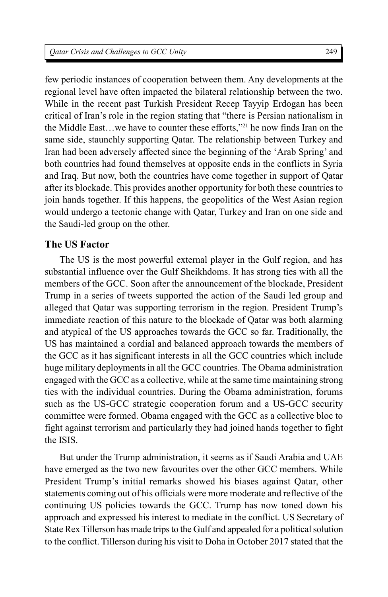249

few periodic instances of cooperation between them. Any developments at the regional level have often impacted the bilateral relationship between the two. While in the recent past Turkish President Recep Tayyip Erdogan has been critical of Iran's role in the region stating that "there is Persian nationalism in the Middle East…we have to counter these efforts,"<sup>21</sup> he now finds Iran on the same side, staunchly supporting Qatar. The relationship between Turkey and Iran had been adversely affected since the beginning of the 'Arab Spring' and both countries had found themselves at opposite ends in the conflicts in Syria and Iraq. But now, both the countries have come together in support of Qatar after its blockade. This provides another opportunity for both these countries to join hands together. If this happens, the geopolitics of the West Asian region would undergo a tectonic change with Qatar, Turkey and Iran on one side and the Saudi-led group on the other.

## **The US Factor**

The US is the most powerful external player in the Gulf region, and has substantial influence over the Gulf Sheikhdoms. It has strong ties with all the members of the GCC. Soon after the announcement of the blockade, President Trump in a series of tweets supported the action of the Saudi led group and alleged that Qatar was supporting terrorism in the region. President Trump's immediate reaction of this nature to the blockade of Qatar was both alarming and atypical of the US approaches towards the GCC so far. Traditionally, the US has maintained a cordial and balanced approach towards the members of the GCC as it has significant interests in all the GCC countries which include huge military deployments in all the GCC countries. The Obama administration engaged with the GCC as a collective, while at the same time maintaining strong ties with the individual countries. During the Obama administration, forums such as the US-GCC strategic cooperation forum and a US-GCC security committee were formed. Obama engaged with the GCC as a collective bloc to fight against terrorism and particularly they had joined hands together to fight the ISIS.

But under the Trump administration, it seems as if Saudi Arabia and UAE have emerged as the two new favourites over the other GCC members. While President Trump's initial remarks showed his biases against Qatar, other statements coming out of his officials were more moderate and reflective of the continuing US policies towards the GCC. Trump has now toned down his approach and expressed his interest to mediate in the conflict. US Secretary of State Rex Tillerson has made trips to the Gulf and appealed for a political solution to the conflict. Tillerson during his visit to Doha in October 2017 stated that the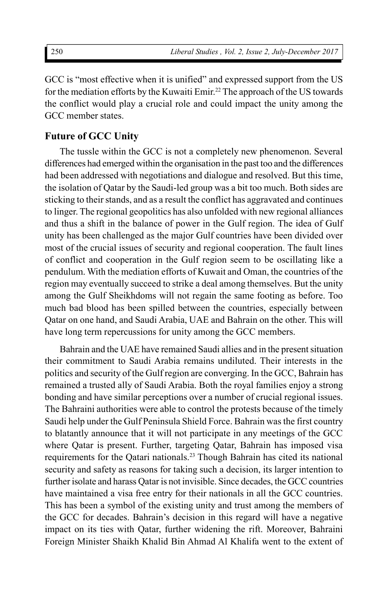GCC is "most effective when it is unified" and expressed support from the US for the mediation efforts by the Kuwaiti Emir.<sup>22</sup> The approach of the US towards the conflict would play a crucial role and could impact the unity among the GCC member states.

## **Future of GCC Unity**

The tussle within the GCC is not a completely new phenomenon. Several differences had emerged within the organisation in the past too and the differences had been addressed with negotiations and dialogue and resolved. But this time, the isolation of Qatar by the Saudi-led group was a bit too much. Both sides are sticking to their stands, and as a result the conflict has aggravated and continues to linger. The regional geopolitics has also unfolded with new regional alliances and thus a shift in the balance of power in the Gulf region. The idea of Gulf unity has been challenged as the major Gulf countries have been divided over most of the crucial issues of security and regional cooperation. The fault lines of conflict and cooperation in the Gulf region seem to be oscillating like a pendulum. With the mediation efforts of Kuwait and Oman, the countries of the region may eventually succeed to strike a deal among themselves. But the unity among the Gulf Sheikhdoms will not regain the same footing as before. Too much bad blood has been spilled between the countries, especially between Qatar on one hand, and Saudi Arabia, UAE and Bahrain on the other. This will have long term repercussions for unity among the GCC members.

Bahrain and the UAE have remained Saudi allies and in the present situation their commitment to Saudi Arabia remains undiluted. Their interests in the politics and security of the Gulf region are converging. In the GCC, Bahrain has remained a trusted ally of Saudi Arabia. Both the royal families enjoy a strong bonding and have similar perceptions over a number of crucial regional issues. The Bahraini authorities were able to control the protests because of the timely Saudi help under the Gulf Peninsula Shield Force. Bahrain was the first country to blatantly announce that it will not participate in any meetings of the GCC where Qatar is present. Further, targeting Qatar, Bahrain has imposed visa requirements for the Qatari nationals.<sup>23</sup> Though Bahrain has cited its national security and safety as reasons for taking such a decision, its larger intention to further isolate and harass Qatar is not invisible. Since decades, the GCC countries have maintained a visa free entry for their nationals in all the GCC countries. This has been a symbol of the existing unity and trust among the members of the GCC for decades. Bahrain's decision in this regard will have a negative impact on its ties with Qatar, further widening the rift. Moreover, Bahraini Foreign Minister Shaikh Khalid Bin Ahmad Al Khalifa went to the extent of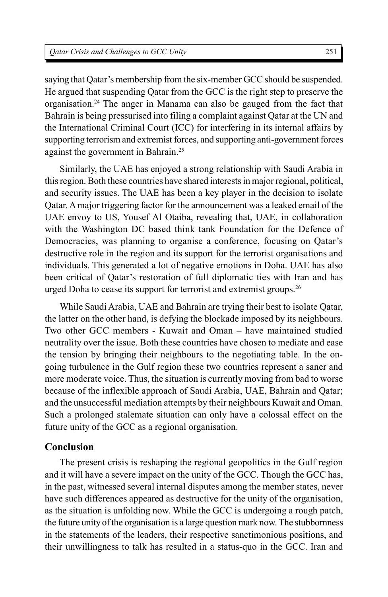saying that Qatar's membership from the six-member GCC should be suspended. He argued that suspending Qatar from the GCC is the right step to preserve the organisation.<sup>24</sup> The anger in Manama can also be gauged from the fact that Bahrain is being pressurised into filing a complaint against Qatar at the UN and the International Criminal Court (ICC) for interfering in its internal affairs by supporting terrorism and extremist forces, and supporting anti-government forces against the government in Bahrain.<sup>25</sup>

Similarly, the UAE has enjoyed a strong relationship with Saudi Arabia in this region. Both these countries have shared interests in major regional, political, and security issues. The UAE has been a key player in the decision to isolate Qatar. A major triggering factor for the announcement was a leaked email of the UAE envoy to US, Yousef Al Otaiba, revealing that, UAE, in collaboration with the Washington DC based think tank Foundation for the Defence of Democracies, was planning to organise a conference, focusing on Qatar's destructive role in the region and its support for the terrorist organisations and individuals. This generated a lot of negative emotions in Doha. UAE has also been critical of Qatar's restoration of full diplomatic ties with Iran and has urged Doha to cease its support for terrorist and extremist groups.<sup>26</sup>

While Saudi Arabia, UAE and Bahrain are trying their best to isolate Qatar, the latter on the other hand, is defying the blockade imposed by its neighbours. Two other GCC members - Kuwait and Oman – have maintained studied neutrality over the issue. Both these countries have chosen to mediate and ease the tension by bringing their neighbours to the negotiating table. In the ongoing turbulence in the Gulf region these two countries represent a saner and more moderate voice. Thus, the situation is currently moving from bad to worse because of the inflexible approach of Saudi Arabia, UAE, Bahrain and Qatar; and the unsuccessful mediation attempts by their neighbours Kuwait and Oman. Such a prolonged stalemate situation can only have a colossal effect on the future unity of the GCC as a regional organisation.

## **Conclusion**

The present crisis is reshaping the regional geopolitics in the Gulf region and it will have a severe impact on the unity of the GCC. Though the GCC has, in the past, witnessed several internal disputes among the member states, never have such differences appeared as destructive for the unity of the organisation, as the situation is unfolding now. While the GCC is undergoing a rough patch, the future unity of the organisation is a large question mark now. The stubbornness in the statements of the leaders, their respective sanctimonious positions, and their unwillingness to talk has resulted in a status-quo in the GCC. Iran and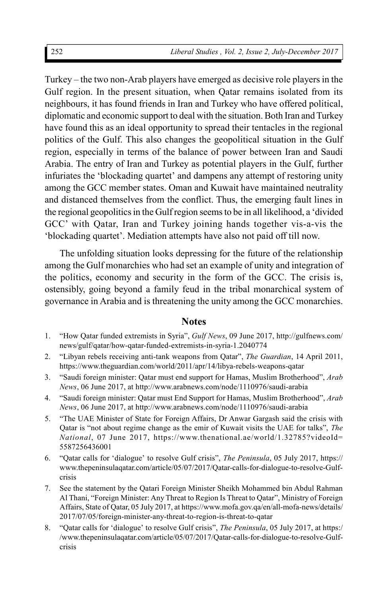Turkey – the two non-Arab players have emerged as decisive role players in the Gulf region. In the present situation, when Qatar remains isolated from its neighbours, it has found friends in Iran and Turkey who have offered political, diplomatic and economic support to deal with the situation. Both Iran and Turkey have found this as an ideal opportunity to spread their tentacles in the regional politics of the Gulf. This also changes the geopolitical situation in the Gulf region, especially in terms of the balance of power between Iran and Saudi Arabia. The entry of Iran and Turkey as potential players in the Gulf, further infuriates the 'blockading quartet' and dampens any attempt of restoring unity among the GCC member states. Oman and Kuwait have maintained neutrality and distanced themselves from the conflict. Thus, the emerging fault lines in the regional geopolitics in the Gulf region seems to be in all likelihood, a 'divided GCC' with Qatar, Iran and Turkey joining hands together vis-a-vis the 'blockading quartet'. Mediation attempts have also not paid off till now.

The unfolding situation looks depressing for the future of the relationship among the Gulf monarchies who had set an example of unity and integration of the politics, economy and security in the form of the GCC. The crisis is, ostensibly, going beyond a family feud in the tribal monarchical system of governance in Arabia and is threatening the unity among the GCC monarchies.

#### **Notes**

- 1. "How Qatar funded extremists in Syria", *Gulf News*, 09 June 2017, http://gulfnews.com/ news/gulf/qatar/how-qatar-funded-extremists-in-syria-1.2040774
- 2. "Libyan rebels receiving anti-tank weapons from Qatar", *The Guardian*, 14 April 2011, https://www.theguardian.com/world/2011/apr/14/libya-rebels-weapons-qatar
- 3. "Saudi foreign minister: Qatar must end support for Hamas, Muslim Brotherhood", *Arab News*, 06 June 2017, at http://www.arabnews.com/node/1110976/saudi-arabia
- 4. "Saudi foreign minister: Qatar must End Support for Hamas, Muslim Brotherhood", *Arab News*, 06 June 2017, at http://www.arabnews.com/node/1110976/saudi-arabia
- 5. "The UAE Minister of State for Foreign Affairs, Dr Anwar Gargash said the crisis with Qatar is "not about regime change as the emir of Kuwait visits the UAE for talks", *The National*, 07 June 2017, https://www.thenational.ae/world/1.32785?videoId= 5587256436001
- 6. "Qatar calls for 'dialogue' to resolve Gulf crisis", *The Peninsula*, 05 July 2017, https:// www.thepeninsulaqatar.com/article/05/07/2017/Qatar-calls-for-dialogue-to-resolve-Gulfcrisis
- 7. See the statement by the Qatari Foreign Minister Sheikh Mohammed bin Abdul Rahman Al Thani, "Foreign Minister: Any Threat to Region Is Threat to Qatar", Ministry of Foreign Affairs, State of Qatar, 05 July 2017, at https://www.mofa.gov.qa/en/all-mofa-news/details/ 2017/07/05/foreign-minister-any-threat-to-region-is-threat-to-qatar
- 8. "Qatar calls for 'dialogue' to resolve Gulf crisis", *The Peninsula*, 05 July 2017, at https:/ /www.thepeninsulaqatar.com/article/05/07/2017/Qatar-calls-for-dialogue-to-resolve-Gulfcrisis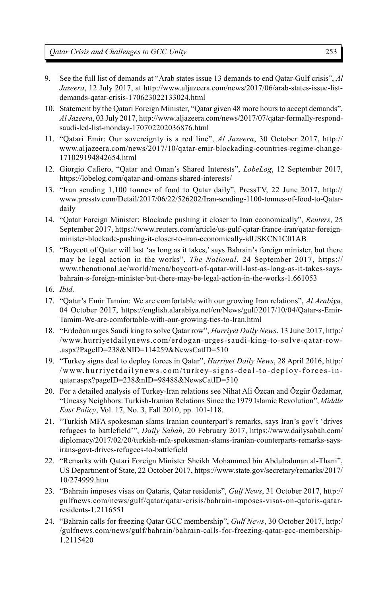- 9. See the full list of demands at "Arab states issue 13 demands to end Qatar-Gulf crisis", *Al Jazeera*, 12 July 2017, at http://www.aljazeera.com/news/2017/06/arab-states-issue-listdemands-qatar-crisis-170623022133024.html
- 10. Statement by the Qatari Foreign Minister, "Qatar given 48 more hours to accept demands", *Al Jazeera*, 03 July 2017, http://www.aljazeera.com/news/2017/07/qatar-formally-respondsaudi-led-list-monday-170702202036876.html
- 11. "Qatari Emir: Our sovereignty is a red line", *Al Jazeera*, 30 October 2017, http:// www.aljazeera.com/news/2017/10/qatar-emir-blockading-countries-regime-change-171029194842654.html
- 12. Giorgio Cafiero, "Qatar and Oman's Shared Interests", *LobeLog*, 12 September 2017, https://lobelog.com/qatar-and-omans-shared-interests/
- 13. "Iran sending 1,100 tonnes of food to Qatar daily", PressTV, 22 June 2017, http:// www.presstv.com/Detail/2017/06/22/526202/Iran-sending-1100-tonnes-of-food-to-Qatardaily
- 14. "Qatar Foreign Minister: Blockade pushing it closer to Iran economically", *Reuters*, 25 September 2017, https://www.reuters.com/article/us-gulf-qatar-france-iran/qatar-foreignminister-blockade-pushing-it-closer-to-iran-economically-idUSKCN1C01AB
- 15. "Boycott of Qatar will last 'as long as it takes,' says Bahrain's foreign minister, but there may be legal action in the works", *The National*, 24 September 2017, https:// www.thenational.ae/world/mena/boycott-of-qatar-will-last-as-long-as-it-takes-saysbahrain-s-foreign-minister-but-there-may-be-legal-action-in-the-works-1.661053
- 16. *Ibid.*
- 17. "Qatar's Emir Tamim: We are comfortable with our growing Iran relations", *Al Arabiya*, 04 October 2017, https://english.alarabiya.net/en/News/gulf/2017/10/04/Qatar-s-Emir-Tamim-We-are-comfortable-with-our-growing-ties-to-Iran.html
- 18. "Erdoðan urges Saudi king to solve Qatar row", *Hurriyet Daily News*, 13 June 2017, http:/ /www.hurriyetdailynews.com/erdogan-urges-saudi-king-to-solve-qatar-row- .aspx?PageID=238&NID=114259&NewsCatID=510
- 19. "Turkey signs deal to deploy forces in Qatar", *Hurriyet Daily News*, 28 April 2016, http:/ /www.hurriyetdailynews.com/turkey-signs-deal-to-deploy-forces-inqatar.aspx?pageID=238&nID=98488&NewsCatID=510
- 20. For a detailed analysis of Turkey-Iran relations see Nihat Ali Özcan and Özgür Özdamar, "Uneasy Neighbors: Turkish-Iranian Relations Since the 1979 Islamic Revolution", *Middle East Policy*, Vol. 17, No. 3, Fall 2010, pp. 101-118.
- 21. "Turkish MFA spokesman slams Iranian counterpart's remarks, says Iran's gov't 'drives refugees to battlefield'", *Daily Sabah*, 20 February 2017, https://www.dailysabah.com/ diplomacy/2017/02/20/turkish-mfa-spokesman-slams-iranian-counterparts-remarks-saysirans-govt-drives-refugees-to-battlefield
- 22. "Remarks with Qatari Foreign Minister Sheikh Mohammed bin Abdulrahman al-Thani", US Department of State, 22 October 2017, https://www.state.gov/secretary/remarks/2017/ 10/274999.htm
- 23. "Bahrain imposes visas on Qataris, Qatar residents", *Gulf News*, 31 October 2017, http:// gulfnews.com/news/gulf/qatar/qatar-crisis/bahrain-imposes-visas-on-qataris-qatarresidents-1.2116551
- 24. "Bahrain calls for freezing Qatar GCC membership", *Gulf News*, 30 October 2017, http:/ /gulfnews.com/news/gulf/bahrain/bahrain-calls-for-freezing-qatar-gcc-membership-1.2115420